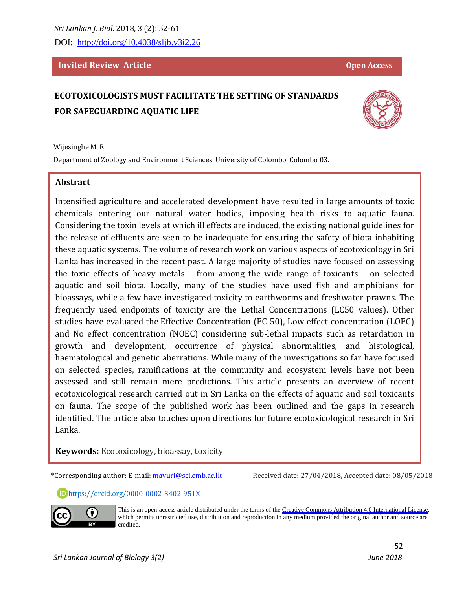DOI: <http://doi.org/10.4038/sljb.v3i2.26>

#### **Invited Review Article** <br> **Constantial Proper Access**

# **ECOTOXICOLOGISTS MUST FACILITATE THE SETTING OF STANDARDS FOR SAFEGUARDING AQUATIC LIFE**

Wijesinghe M. R.

Department of Zoology and Environment Sciences, University of Colombo, Colombo 03.

#### **Abstract**

Intensified agriculture and accelerated development have resulted in large amounts of toxic chemicals entering our natural water bodies, imposing health risks to aquatic fauna. Considering the toxin levels at which ill effects are induced, the existing national guidelines for the release of effluents are seen to be inadequate for ensuring the safety of biota inhabiting these aquatic systems. The volume of research work on various aspects of ecotoxicology in Sri Lanka has increased in the recent past. A large majority of studies have focused on assessing the toxic effects of heavy metals – from among the wide range of toxicants – on selected aquatic and soil biota. Locally, many of the studies have used fish and amphibians for bioassays, while a few have investigated toxicity to earthworms and freshwater prawns. The frequently used endpoints of toxicity are the Lethal Concentrations (LC50 values). Other studies have evaluated the Effective Concentration (EC 50), Low effect concentration (LOEC) and No effect concentration (NOEC) considering sub-lethal impacts such as retardation in growth and development, occurrence of physical abnormalities, and histological, haematological and genetic aberrations. While many of the investigations so far have focused on selected species, ramifications at the community and ecosystem levels have not been assessed and still remain mere predictions. This article presents an overview of recent ecotoxicological research carried out in Sri Lanka on the effects of aquatic and soil toxicants on fauna. The scope of the published work has been outlined and the gaps in research identified. The article also touches upon directions for future ecotoxicological research in Sri Lanka.

> This is an open-access article distributed under the terms of the [Creative Commons Attribution 4.0 International License,](https://creativecommons.org/licenses/by/4.0/) which permits unrestricted use, distribution and reproduction in any medium provided the original author and source are

**Keywords:** Ecotoxicology, bioassay, toxicity

\*Corresponding author: E-mail[: mayuri@sci.cmb.ac.lk](mailto:mayuri@sci.cmb.ac.lk) Received date: 27/04/2018, Accepted date: 08/05/2018

https://orcid.org[/0000-0002-3402-951X](https://orcid.org/0000-0002-3402-951X)

credited.



 $\bf{(}i)$ 

l

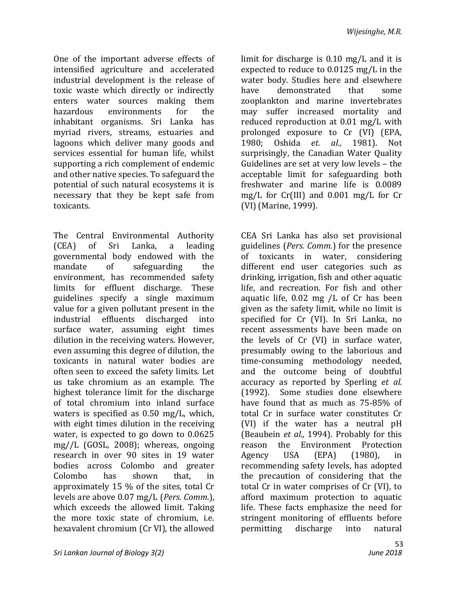One of the important adverse effects of intensified agriculture and accelerated industrial development is the release of toxic waste which directly or indirectly enters water sources making them hazardous environments for the inhabitant organisms. Sri Lanka has myriad rivers, streams, estuaries and lagoons which deliver many goods and services essential for human life, whilst supporting a rich complement of endemic and other native species. To safeguard the potential of such natural ecosystems it is necessary that they be kept safe from toxicants.

The Central Environmental Authority (CEA) of Sri Lanka, a leading governmental body endowed with the mandate of safeguarding the environment, has recommended safety limits for effluent discharge. These guidelines specify a single maximum value for a given pollutant present in the industrial effluents discharged into surface water, assuming eight times dilution in the receiving waters. However, even assuming this degree of dilution, the toxicants in natural water bodies are often seen to exceed the safety limits. Let us take chromium as an example. The highest tolerance limit for the discharge of total chromium into inland surface waters is specified as 0.50 mg/L, which, with eight times dilution in the receiving water, is expected to go down to 0.0625 mg//L (GOSL, 2008); whereas, ongoing research in over 90 sites in 19 water bodies across Colombo and greater Colombo has shown that, in approximately 15 % of the sites, total Cr levels are above 0.07 mg/L (*Pers. Comm*.), which exceeds the allowed limit. Taking the more toxic state of chromium, i.e. hexavalent chromium (Cr VI), the allowed

limit for discharge is 0.10 mg/L and it is expected to reduce to 0.0125 mg/L in the water body. Studies here and elsewhere have demonstrated that some zooplankton and marine invertebrates may suffer increased mortality and reduced reproduction at 0.01 mg/L with prolonged exposure to Cr (VI) (EPA, 1980; Oshida *et. al.,* 1981). Not surprisingly, the Canadian Water Quality Guidelines are set at very low levels – the acceptable limit for safeguarding both freshwater and marine life is 0.0089 mg/L for Cr(III) and 0.001 mg/L for Cr (VI) (Marine, 1999).

CEA Sri Lanka has also set provisional guidelines (*Pers. Comm.*) for the presence of toxicants in water, considering different end user categories such as drinking, irrigation, fish and other aquatic life, and recreation. For fish and other aquatic life, 0.02 mg /L of Cr has been given as the safety limit, while no limit is specified for Cr (VI). In Sri Lanka, no recent assessments have been made on the levels of Cr (VI) in surface water, presumably owing to the laborious and time-consuming methodology needed, and the outcome being of doubtful accuracy as reported by Sperling *et al.* (1992). Some studies done elsewhere have found that as much as 75-85% of total Cr in surface water constitutes Cr (VI) if the water has a neutral pH (Beaubein *et al.,* 1994). Probably for this reason the Environment Protection Agency USA (EPA) (1980), in recommending safety levels, has adopted the precaution of considering that the total Cr in water comprises of Cr (VI), to afford maximum protection to aquatic life. These facts emphasize the need for stringent monitoring of effluents before permitting discharge into natural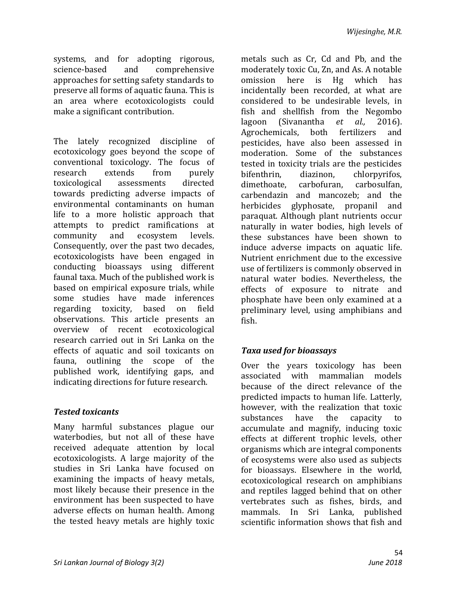systems, and for adopting rigorous, science-based and comprehensive approaches for setting safety standards to preserve all forms of aquatic fauna. This is an area where ecotoxicologists could make a significant contribution.

The lately recognized discipline of ecotoxicology goes beyond the scope of conventional toxicology. The focus of research extends from purely toxicological assessments directed towards predicting adverse impacts of environmental contaminants on human life to a more holistic approach that attempts to predict ramifications at community and ecosystem levels. Consequently, over the past two decades, ecotoxicologists have been engaged in conducting bioassays using different faunal taxa. Much of the published work is based on empirical exposure trials, while some studies have made inferences regarding toxicity, based on field observations. This article presents an overview of recent ecotoxicological research carried out in Sri Lanka on the effects of aquatic and soil toxicants on fauna, outlining the scope of the published work, identifying gaps, and indicating directions for future research.

### *Tested toxicants*

Many harmful substances plague our waterbodies, but not all of these have received adequate attention by local ecotoxicologists. A large majority of the studies in Sri Lanka have focused on examining the impacts of heavy metals, most likely because their presence in the environment has been suspected to have adverse effects on human health. Among the tested heavy metals are highly toxic

metals such as Cr, Cd and Pb, and the moderately toxic Cu, Zn, and As. A notable omission here is Hg which has incidentally been recorded, at what are considered to be undesirable levels, in fish and shellfish from the Negombo lagoon (Sivanantha *et al.,* 2016). Agrochemicals, both fertilizers and pesticides, have also been assessed in moderation. Some of the substances tested in toxicity trials are the pesticides bifenthrin, diazinon, chlorpyrifos, dimethoate, carbofuran, carbosulfan, carbendazin and mancozeb; and the herbicides glyphosate, propanil and paraquat. Although plant nutrients occur naturally in water bodies, high levels of these substances have been shown to induce adverse impacts on aquatic life. Nutrient enrichment due to the excessive use of fertilizers is commonly observed in natural water bodies. Nevertheless, the effects of exposure to nitrate and phosphate have been only examined at a preliminary level, using amphibians and fish.

### *Taxa used for bioassays*

Over the years toxicology has been associated with mammalian models because of the direct relevance of the predicted impacts to human life. Latterly, however, with the realization that toxic substances have the capacity to accumulate and magnify, inducing toxic effects at different trophic levels, other organisms which are integral components of ecosystems were also used as subjects for bioassays. Elsewhere in the world, ecotoxicological research on amphibians and reptiles lagged behind that on other vertebrates such as fishes, birds, and mammals. In Sri Lanka, published scientific information shows that fish and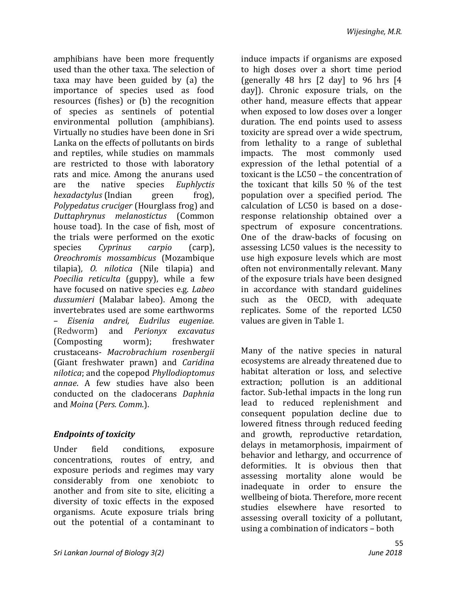amphibians have been more frequently used than the other taxa. The selection of taxa may have been guided by (a) the importance of species used as food resources (fishes) or (b) the recognition of species as sentinels of potential environmental pollution (amphibians). Virtually no studies have been done in Sri Lanka on the effects of pollutants on birds and reptiles, while studies on mammals are restricted to those with laboratory rats and mice. Among the anurans used are the native species *Euphlyctis hexadactylus* (Indian green frog), *Polypedatus cruciger* (Hourglass frog) and *Duttaphrynus melanostictus* (Common house toad). In the case of fish, most of the trials were performed on the exotic species *Cyprinus carpio* (carp), *Oreochromis mossambicus* (Mozambique tilapia)*, O. nilotica* (Nile tilapia) and *Poecilia reticulta* (guppy), while a few have focused on native species e.g. *Labeo dussumieri* (Malabar labeo). Among the invertebrates used are some earthworms – *Eisenia andrei, Eudrilus eugeniae.*  (Redworm) and *Perionyx excavatus*  (Composting worm); freshwater crustaceans- *Macrobrachium rosenbergii*  (Giant freshwater prawn) and *Caridina nilotica*; and the copepod *Phyllodioptomus annae*. A few studies have also been conducted on the cladocerans *Daphnia*  and *Moina* (*Pers. Comm*.).

### *Endpoints of toxicity*

Under field conditions, exposure concentrations, routes of entry, and exposure periods and regimes may vary considerably from one xenobiotc to another and from site to site, eliciting a diversity of toxic effects in the exposed organisms. Acute exposure trials bring out the potential of a contaminant to induce impacts if organisms are exposed to high doses over a short time period (generally 48 hrs [2 day] to 96 hrs [4 day]). Chronic exposure trials, on the other hand, measure effects that appear when exposed to low doses over a longer duration. The end points used to assess toxicity are spread over a wide spectrum, from lethality to a range of sublethal impacts. The most commonly used expression of the lethal potential of a toxicant is the LC50 – the concentration of the toxicant that kills 50 % of the test population over a specified period. The calculation of LC50 is based on a doseresponse relationship obtained over a spectrum of exposure concentrations. One of the draw-backs of focusing on assessing LC50 values is the necessity to use high exposure levels which are most often not environmentally relevant. Many of the exposure trials have been designed in accordance with standard guidelines such as the OECD, with adequate replicates. Some of the reported LC50 values are given in Table 1.

Many of the native species in natural ecosystems are already threatened due to habitat alteration or loss, and selective extraction; pollution is an additional factor. Sub-lethal impacts in the long run lead to reduced replenishment and consequent population decline due to lowered fitness through reduced feeding and growth, reproductive retardation, delays in metamorphosis, impairment of behavior and lethargy, and occurrence of deformities. It is obvious then that assessing mortality alone would be inadequate in order to ensure the wellbeing of biota. Therefore, more recent studies elsewhere have resorted to assessing overall toxicity of a pollutant, using a combination of indicators – both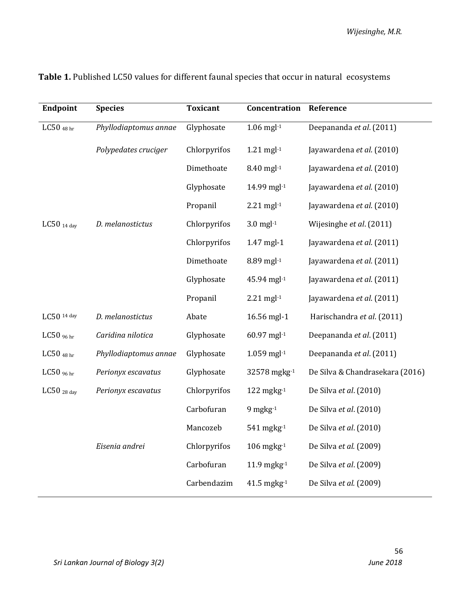| Endpoint                  | <b>Species</b>        | <b>Toxicant</b> | Concentration       | Reference                       |
|---------------------------|-----------------------|-----------------|---------------------|---------------------------------|
| LC50 $48 \text{ hr}$      | Phyllodiaptomus annae | Glyphosate      | $1.06$ mgl $-1$     | Deepananda et al. (2011)        |
|                           | Polypedates cruciger  | Chlorpyrifos    | $1.21$ mgl $-1$     | Jayawardena et al. (2010)       |
|                           |                       | Dimethoate      | 8.40 mgl-1          | Jayawardena et al. (2010)       |
|                           |                       | Glyphosate      | 14.99 mgl-1         | Jayawardena et al. (2010)       |
|                           |                       | Propanil        | $2.21$ mgl $-1$     | Jayawardena et al. (2010)       |
| LC50 $_{14}$ day          | D. melanostictus      | Chlorpyrifos    | $3.0$ mgl $-1$      | Wijesinghe et al. (2011)        |
|                           |                       | Chlorpyrifos    | 1.47 mgl-1          | Jayawardena et al. (2011)       |
|                           |                       | Dimethoate      | 8.89 mgl-1          | Jayawardena et al. (2011)       |
|                           |                       | Glyphosate      | 45.94 mgl-1         | Jayawardena et al. (2011)       |
|                           |                       | Propanil        | $2.21$ mgl $-1$     | Jayawardena et al. (2011)       |
| LC50 14 day               | D. melanostictus      | Abate           | 16.56 mgl-1         | Harischandra et al. (2011)      |
| LC50 $96$ hr              | Caridina nilotica     | Glyphosate      | 60.97 mgl-1         | Deepananda et al. (2011)        |
| LC50 $_{48\,\mathrm{hr}}$ | Phyllodiaptomus annae | Glyphosate      | $1.059$ mgl $-1$    | Deepananda et al. (2011)        |
| LC50 $96$ hr              | Perionyx escavatus    | Glyphosate      | 32578 mgkg-1        | De Silva & Chandrasekara (2016) |
| LC50 $_{28 \text{ day}}$  | Perionyx escavatus    | Chlorpyrifos    | $122$ mgkg $^{-1}$  | De Silva et al. (2010)          |
|                           |                       | Carbofuran      | $9$ mgkg $-1$       | De Silva et al. (2010)          |
|                           |                       | Mancozeb        | $541$ mgkg $^{-1}$  | De Silva et al. (2010)          |
|                           | Eisenia andrei        | Chlorpyrifos    | $106$ mgkg $^{-1}$  | De Silva et al. (2009)          |
|                           |                       | Carbofuran      | 11.9 mgkg-1         | De Silva et al. (2009)          |
|                           |                       | Carbendazim     | $41.5$ mgkg $^{-1}$ | De Silva et al. (2009)          |

## **Table 1.** Published LC50 values for different faunal species that occur in natural ecosystems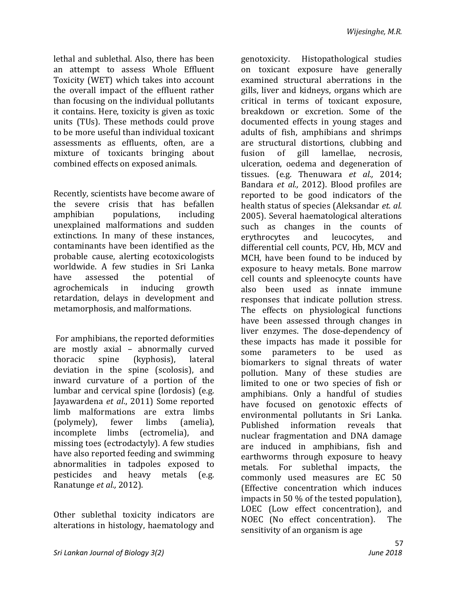lethal and sublethal. Also, there has been an attempt to assess Whole Effluent Toxicity (WET) which takes into account the overall impact of the effluent rather than focusing on the individual pollutants it contains. Here, toxicity is given as toxic units (TUs). These methods could prove to be more useful than individual toxicant assessments as effluents, often, are a mixture of toxicants bringing about combined effects on exposed animals.

Recently, scientists have become aware of the severe crisis that has befallen amphibian populations, including unexplained malformations and sudden extinctions. In many of these instances, contaminants have been identified as the probable cause, alerting ecotoxicologists worldwide. A few studies in Sri Lanka have assessed the potential of agrochemicals in inducing growth retardation, delays in development and metamorphosis, and malformations.

For amphibians, the reported deformities are mostly axial – abnormally curved thoracic spine (kyphosis), lateral deviation in the spine (scolosis), and inward curvature of a portion of the lumbar and cervical spine (lordosis) (e.g. Jayawardena *et al*., 2011) Some reported limb malformations are extra limbs (polymely), fewer limbs (amelia), incomplete limbs (ectromelia), and missing toes (ectrodactyly). A few studies have also reported feeding and swimming abnormalities in tadpoles exposed to pesticides and heavy metals (e.g. Ranatunge *et al.,* 2012).

Other sublethal toxicity indicators are alterations in histology, haematology and

genotoxicity. Histopathological studies on toxicant exposure have generally examined structural aberrations in the gills, liver and kidneys, organs which are critical in terms of toxicant exposure, breakdown or excretion. Some of the documented effects in young stages and adults of fish, amphibians and shrimps are structural distortions, clubbing and fusion of gill lamellae, necrosis, ulceration, oedema and degeneration of tissues. (e.g. Thenuwara *et al.,* 2014; Bandara *et al.,* 2012). Blood profiles are reported to be good indicators of the health status of species (Aleksandar *et. al.*  2005). Several haematological alterations such as changes in the counts of erythrocytes and leucocytes, and differential cell counts, PCV, Hb, MCV and MCH, have been found to be induced by exposure to heavy metals. Bone marrow cell counts and spleenocyte counts have also been used as innate immune responses that indicate pollution stress. The effects on physiological functions have been assessed through changes in liver enzymes. The dose-dependency of these impacts has made it possible for some parameters to be used as biomarkers to signal threats of water pollution. Many of these studies are limited to one or two species of fish or amphibians. Only a handful of studies have focused on genotoxic effects of environmental pollutants in Sri Lanka. Published information reveals that nuclear fragmentation and DNA damage are induced in amphibians, fish and earthworms through exposure to heavy metals*.* For sublethal impacts, the commonly used measures are EC 50 (Effective concentration which induces impacts in 50 % of the tested population), LOEC (Low effect concentration), and NOEC (No effect concentration). The sensitivity of an organism is age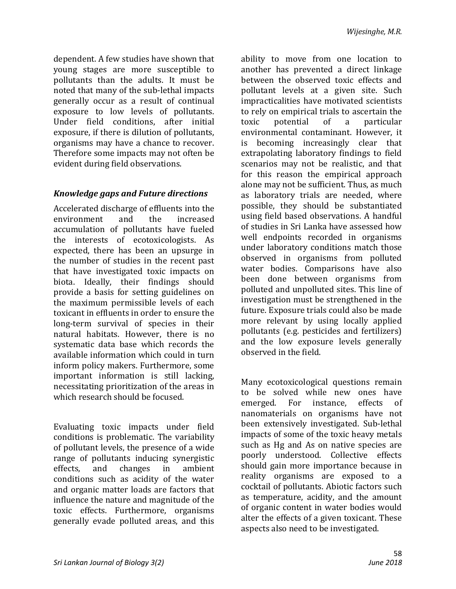dependent. A few studies have shown that young stages are more susceptible to pollutants than the adults. It must be noted that many of the sub-lethal impacts generally occur as a result of continual exposure to low levels of pollutants. Under field conditions, after initial exposure, if there is dilution of pollutants, organisms may have a chance to recover. Therefore some impacts may not often be evident during field observations.

#### *Knowledge gaps and Future directions*

Accelerated discharge of effluents into the environment and the increased accumulation of pollutants have fueled the interests of ecotoxicologists. As expected, there has been an upsurge in the number of studies in the recent past that have investigated toxic impacts on biota. Ideally, their findings should provide a basis for setting guidelines on the maximum permissible levels of each toxicant in effluents in order to ensure the long-term survival of species in their natural habitats. However, there is no systematic data base which records the available information which could in turn inform policy makers. Furthermore, some important information is still lacking, necessitating prioritization of the areas in which research should be focused.

Evaluating toxic impacts under field conditions is problematic. The variability of pollutant levels, the presence of a wide range of pollutants inducing synergistic effects, and changes in ambient conditions such as acidity of the water and organic matter loads are factors that influence the nature and magnitude of the toxic effects. Furthermore, organisms generally evade polluted areas, and this

ability to move from one location to another has prevented a direct linkage between the observed toxic effects and pollutant levels at a given site. Such impracticalities have motivated scientists to rely on empirical trials to ascertain the toxic potential of a particular environmental contaminant. However, it is becoming increasingly clear that extrapolating laboratory findings to field scenarios may not be realistic, and that for this reason the empirical approach alone may not be sufficient. Thus, as much as laboratory trials are needed, where possible, they should be substantiated using field based observations. A handful of studies in Sri Lanka have assessed how well endpoints recorded in organisms under laboratory conditions match those observed in organisms from polluted water bodies. Comparisons have also been done between organisms from polluted and unpolluted sites. This line of investigation must be strengthened in the future. Exposure trials could also be made more relevant by using locally applied pollutants (e.g. pesticides and fertilizers) and the low exposure levels generally observed in the field.

Many ecotoxicological questions remain to be solved while new ones have emerged. For instance, effects of nanomaterials on organisms have not been extensively investigated. Sub-lethal impacts of some of the toxic heavy metals such as Hg and As on native species are poorly understood. Collective effects should gain more importance because in reality organisms are exposed to a cocktail of pollutants. Abiotic factors such as temperature, acidity, and the amount of organic content in water bodies would alter the effects of a given toxicant. These aspects also need to be investigated.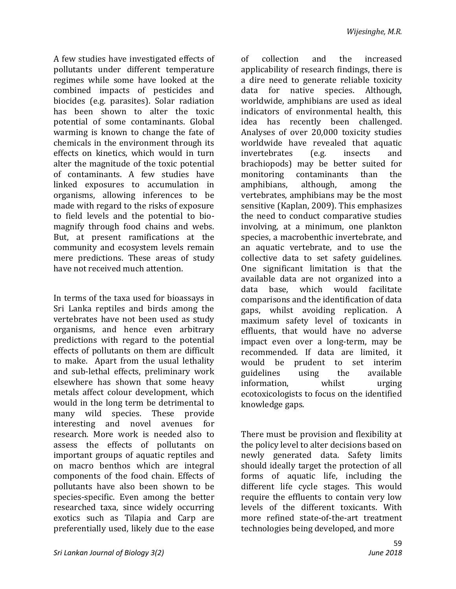A few studies have investigated effects of pollutants under different temperature regimes while some have looked at the combined impacts of pesticides and biocides (e.g. parasites). Solar radiation has been shown to alter the toxic potential of some contaminants. Global warming is known to change the fate of chemicals in the environment through its effects on kinetics, which would in turn alter the magnitude of the toxic potential of contaminants. A few studies have linked exposures to accumulation in organisms, allowing inferences to be made with regard to the risks of exposure to field levels and the potential to biomagnify through food chains and webs. But, at present ramifications at the community and ecosystem levels remain mere predictions. These areas of study have not received much attention.

In terms of the taxa used for bioassays in Sri Lanka reptiles and birds among the vertebrates have not been used as study organisms, and hence even arbitrary predictions with regard to the potential effects of pollutants on them are difficult to make. Apart from the usual lethality and sub-lethal effects, preliminary work elsewhere has shown that some heavy metals affect colour development, which would in the long term be detrimental to many wild species. These provide interesting and novel avenues for research. More work is needed also to assess the effects of pollutants on important groups of aquatic reptiles and on macro benthos which are integral components of the food chain. Effects of pollutants have also been shown to be species-specific. Even among the better researched taxa, since widely occurring exotics such as Tilapia and Carp are preferentially used, likely due to the ease

a dire need to generate reliable toxicity data for native species. Although, worldwide, amphibians are used as ideal indicators of environmental health, this idea has recently been challenged. Analyses of over 20,000 toxicity studies worldwide have revealed that aquatic invertebrates (e.g. insects and brachiopods) may be better suited for monitoring contaminants than the amphibians, although, among the vertebrates, amphibians may be the most sensitive (Kaplan, 2009). This emphasizes the need to conduct comparative studies involving, at a minimum, one plankton species, a macrobenthic invertebrate, and an aquatic vertebrate, and to use the collective data to set safety guidelines. One significant limitation is that the available data are not organized into a data base, which would facilitate comparisons and the identification of data gaps, whilst avoiding replication. A maximum safety level of toxicants in effluents, that would have no adverse impact even over a long-term, may be recommended. If data are limited, it would be prudent to set interim guidelines using the available information, whilst urging ecotoxicologists to focus on the identified knowledge gaps.

of collection and the increased applicability of research findings, there is

There must be provision and flexibility at the policy level to alter decisions based on newly generated data. Safety limits should ideally target the protection of all forms of aquatic life, including the different life cycle stages. This would require the effluents to contain very low levels of the different toxicants. With more refined state-of-the-art treatment technologies being developed, and more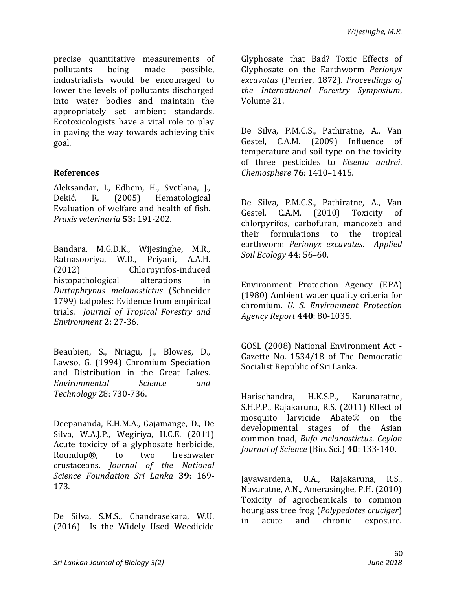precise quantitative measurements of pollutants being made possible, industrialists would be encouraged to lower the levels of pollutants discharged into water bodies and maintain the appropriately set ambient standards. Ecotoxicologists have a vital role to play in paving the way towards achieving this goal.

#### **References**

Aleksandar, I., Edhem, H., Svetlana, J., Dekić, R. (2005) Hematological Evaluation of welfare and health of fish. *Praxis veterinaria* **53:** 191-202.

Bandara, M.G.D.K., Wijesinghe, M.R., Ratnasooriya, W.D., Priyani, A.A.H. (2012) Chlorpyrifos-induced histopathological alterations in *Duttaphrynus melanostictus* (Schneider 1799) tadpoles: Evidence from empirical trials. *Journal of Tropical Forestry and Environment* **2:** 27-36.

Beaubien, [S., Nriagu,](https://www.researchgate.net/profile/Jerome_Nriagu) J., [Blowes,](https://www.researchgate.net/scientific-contributions/59331910_Dave_Blowes) D., [Lawso,](https://www.researchgate.net/scientific-contributions/2003193476_Greg_Lawson) G. (1994) Chromium Speciation and Distribution in the Great Lakes. *[Environmental Science and](https://www.researchgate.net/journal/0013-936X_Environmental_Science_and_Technology)  [Technology](https://www.researchgate.net/journal/0013-936X_Environmental_Science_and_Technology)* 28: 730-736.

Deepananda, K.H.M.A., Gajamange, D., De Silva, W.A.J.P., Wegiriya, H.C.E. (2011) Acute toxicity of a glyphosate herbicide, Roundup®, to two freshwater crustaceans. *Journal of the National Science Foundation Sri Lanka* **39**: 169- 173.

De Silva, S.M.S., Chandrasekara, W.U. (2016) Is the Widely Used Weedicide Glyphosate that Bad? Toxic Effects of Glyphosate on the Earthworm *Perionyx excavatus* (Perrier, 1872). *Proceedings of the International Forestry Symposium*, Volume 21.

De Silva, P.M.C.S., Pathiratne, A., Van Gestel, C.A.M. (2009) Influence of temperature and soil type on the toxicity of three pesticides to *Eisenia andrei*. *Chemosphere* **76**: 1410–1415.

De Silva, P.M.C.S., Pathiratne, A., Van Gestel, C.A.M. (2010) Toxicity of chlorpyrifos, carbofuran, mancozeb and their formulations to the tropical earthworm *Perionyx excavates*. *Applied Soil Ecology* **44**: 56–60.

Environment Protection Agency (EPA) (1980) Ambient water quality criteria for chromium. *U. S. Environment Protection Agency Report* **440**: 80-1035.

GOSL (2008) National Environment Act - Gazette No. 1534/18 of The Democratic Socialist Republic of Sri Lanka.

Harischandra, H.K.S.P., Karunaratne, S.H.P.P., Rajakaruna, R.S. (2011) Effect of mosquito larvicide Abate® on the developmental stages of the Asian common toad, *Bufo melanostictus*. *Ceylon Journal of Science* (Bio. Sci.) **40**: 133-140.

Jayawardena, U.A., Rajakaruna, R.S., Navaratne, A.N., Amerasinghe, P.H. (2010) Toxicity of agrochemicals to common hourglass tree frog (*Polypedates cruciger*) in acute and chronic exposure.